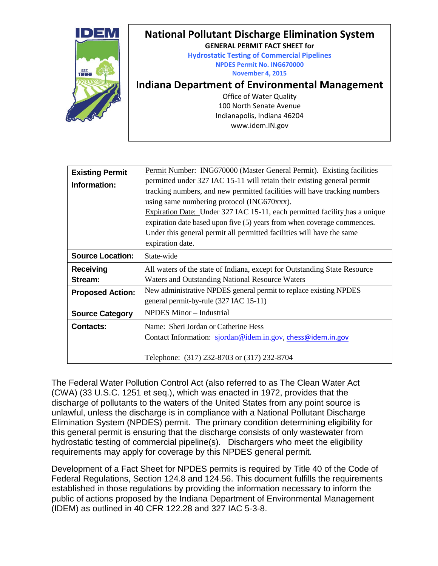

| <b>Existing Permit</b><br>Information: | Permit Number: ING670000 (Master General Permit). Existing facilities<br>permitted under 327 IAC 15-11 will retain their existing general permit<br>tracking numbers, and new permitted facilities will have tracking numbers<br>using same numbering protocol (ING670xxx).<br>Expiration Date: Under 327 IAC 15-11, each permitted facility has a unique<br>expiration date based upon five (5) years from when coverage commences.<br>Under this general permit all permitted facilities will have the same<br>expiration date. |
|----------------------------------------|-----------------------------------------------------------------------------------------------------------------------------------------------------------------------------------------------------------------------------------------------------------------------------------------------------------------------------------------------------------------------------------------------------------------------------------------------------------------------------------------------------------------------------------|
| <b>Source Location:</b>                | State-wide                                                                                                                                                                                                                                                                                                                                                                                                                                                                                                                        |
| Receiving<br>Stream:                   | All waters of the state of Indiana, except for Outstanding State Resource<br><b>Waters and Outstanding National Resource Waters</b>                                                                                                                                                                                                                                                                                                                                                                                               |
| <b>Proposed Action:</b>                | New administrative NPDES general permit to replace existing NPDES<br>general permit-by-rule (327 IAC 15-11)                                                                                                                                                                                                                                                                                                                                                                                                                       |
| <b>Source Category</b>                 | <b>NPDES Minor - Industrial</b>                                                                                                                                                                                                                                                                                                                                                                                                                                                                                                   |
| <b>Contacts:</b>                       | Name: Sheri Jordan or Catherine Hess<br>Contact Information: sjordan@idem.in.gov, chess@idem.in.gov<br>Telephone: (317) 232-8703 or (317) 232-8704                                                                                                                                                                                                                                                                                                                                                                                |

The Federal Water Pollution Control Act (also referred to as The Clean Water Act (CWA) (33 U.S.C. 1251 et seq.), which was enacted in 1972, provides that the discharge of pollutants to the waters of the United States from any point source is unlawful, unless the discharge is in compliance with a National Pollutant Discharge Elimination System (NPDES) permit. The primary condition determining eligibility for this general permit is ensuring that the discharge consists of only wastewater from hydrostatic testing of commercial pipeline(s). Dischargers who meet the eligibility requirements may apply for coverage by this NPDES general permit.

Development of a Fact Sheet for NPDES permits is required by Title 40 of the Code of Federal Regulations, Section 124.8 and 124.56. This document fulfills the requirements established in those regulations by providing the information necessary to inform the public of actions proposed by the Indiana Department of Environmental Management (IDEM) as outlined in 40 CFR 122.28 and 327 IAC 5-3-8.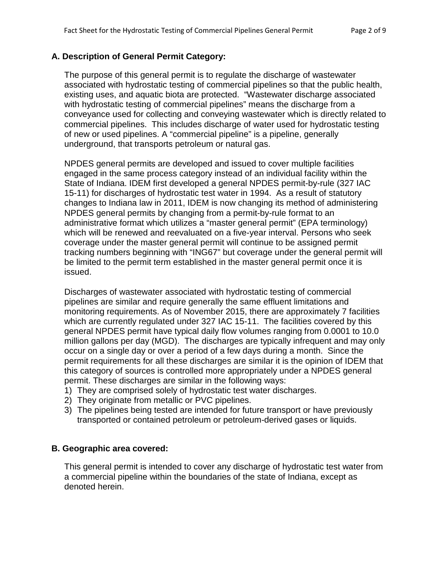### **A. Description of General Permit Category:**

The purpose of this general permit is to regulate the discharge of wastewater associated with hydrostatic testing of commercial pipelines so that the public health, existing uses, and aquatic biota are protected. "Wastewater discharge associated with hydrostatic testing of commercial pipelines" means the discharge from a conveyance used for collecting and conveying wastewater which is directly related to commercial pipelines. This includes discharge of water used for hydrostatic testing of new or used pipelines. A "commercial pipeline" is a pipeline, generally underground, that transports petroleum or natural gas.

NPDES general permits are developed and issued to cover multiple facilities engaged in the same process category instead of an individual facility within the State of Indiana. IDEM first developed a general NPDES permit-by-rule (327 IAC 15-11) for discharges of hydrostatic test water in 1994. As a result of statutory changes to Indiana law in 2011, IDEM is now changing its method of administering NPDES general permits by changing from a permit-by-rule format to an administrative format which utilizes a "master general permit" (EPA terminology) which will be renewed and reevaluated on a five-year interval. Persons who seek coverage under the master general permit will continue to be assigned permit tracking numbers beginning with "ING67" but coverage under the general permit will be limited to the permit term established in the master general permit once it is issued.

Discharges of wastewater associated with hydrostatic testing of commercial pipelines are similar and require generally the same effluent limitations and monitoring requirements. As of November 2015, there are approximately 7 facilities which are currently regulated under 327 IAC 15-11. The facilities covered by this general NPDES permit have typical daily flow volumes ranging from 0.0001 to 10.0 million gallons per day (MGD). The discharges are typically infrequent and may only occur on a single day or over a period of a few days during a month. Since the permit requirements for all these discharges are similar it is the opinion of IDEM that this category of sources is controlled more appropriately under a NPDES general permit. These discharges are similar in the following ways:

- 1) They are comprised solely of hydrostatic test water discharges.
- 2) They originate from metallic or PVC pipelines.
- 3) The pipelines being tested are intended for future transport or have previously transported or contained petroleum or petroleum-derived gases or liquids.

# **B. Geographic area covered:**

This general permit is intended to cover any discharge of hydrostatic test water from a commercial pipeline within the boundaries of the state of Indiana, except as denoted herein.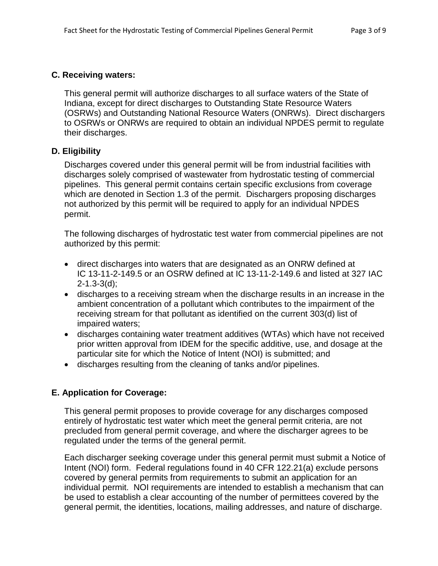### **C. Receiving waters:**

This general permit will authorize discharges to all surface waters of the State of Indiana, except for direct discharges to Outstanding State Resource Waters (OSRWs) and Outstanding National Resource Waters (ONRWs). Direct dischargers to OSRWs or ONRWs are required to obtain an individual NPDES permit to regulate their discharges.

# **D. Eligibility**

Discharges covered under this general permit will be from industrial facilities with discharges solely comprised of wastewater from hydrostatic testing of commercial pipelines. This general permit contains certain specific exclusions from coverage which are denoted in Section 1.3 of the permit. Dischargers proposing discharges not authorized by this permit will be required to apply for an individual NPDES permit.

The following discharges of hydrostatic test water from commercial pipelines are not authorized by this permit:

- direct discharges into waters that are designated as an ONRW defined at IC 13-11-2-149.5 or an OSRW defined at IC 13-11-2-149.6 and listed at 327 IAC 2-1.3-3(d);
- discharges to a receiving stream when the discharge results in an increase in the ambient concentration of a pollutant which contributes to the impairment of the receiving stream for that pollutant as identified on the current 303(d) list of impaired waters;
- discharges containing water treatment additives (WTAs) which have not received prior written approval from IDEM for the specific additive, use, and dosage at the particular site for which the Notice of Intent (NOI) is submitted; and
- discharges resulting from the cleaning of tanks and/or pipelines.

# **E. Application for Coverage:**

This general permit proposes to provide coverage for any discharges composed entirely of hydrostatic test water which meet the general permit criteria, are not precluded from general permit coverage, and where the discharger agrees to be regulated under the terms of the general permit.

Each discharger seeking coverage under this general permit must submit a Notice of Intent (NOI) form. Federal regulations found in 40 CFR 122.21(a) exclude persons covered by general permits from requirements to submit an application for an individual permit. NOI requirements are intended to establish a mechanism that can be used to establish a clear accounting of the number of permittees covered by the general permit, the identities, locations, mailing addresses, and nature of discharge.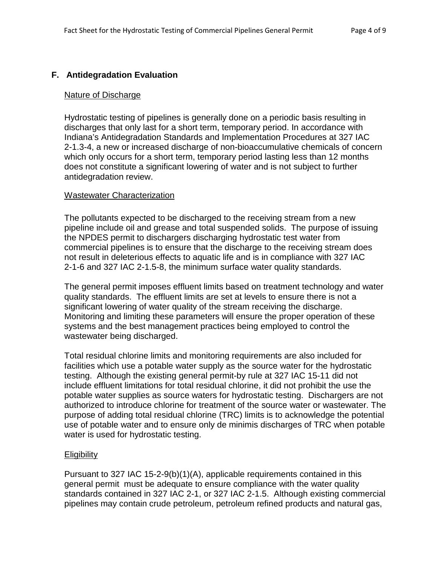# **F. Antidegradation Evaluation**

#### Nature of Discharge

Hydrostatic testing of pipelines is generally done on a periodic basis resulting in discharges that only last for a short term, temporary period. In accordance with Indiana's Antidegradation Standards and Implementation Procedures at 327 IAC 2-1.3-4, a new or increased discharge of non-bioaccumulative chemicals of concern which only occurs for a short term, temporary period lasting less than 12 months does not constitute a significant lowering of water and is not subject to further antidegradation review.

#### Wastewater Characterization

The pollutants expected to be discharged to the receiving stream from a new pipeline include oil and grease and total suspended solids. The purpose of issuing the NPDES permit to dischargers discharging hydrostatic test water from commercial pipelines is to ensure that the discharge to the receiving stream does not result in deleterious effects to aquatic life and is in compliance with 327 IAC 2-1-6 and 327 IAC 2-1.5-8, the minimum surface water quality standards.

The general permit imposes effluent limits based on treatment technology and water quality standards. The effluent limits are set at levels to ensure there is not a significant lowering of water quality of the stream receiving the discharge. Monitoring and limiting these parameters will ensure the proper operation of these systems and the best management practices being employed to control the wastewater being discharged.

Total residual chlorine limits and monitoring requirements are also included for facilities which use a potable water supply as the source water for the hydrostatic testing. Although the existing general permit-by rule at 327 IAC 15-11 did not include effluent limitations for total residual chlorine, it did not prohibit the use the potable water supplies as source waters for hydrostatic testing. Dischargers are not authorized to introduce chlorine for treatment of the source water or wastewater. The purpose of adding total residual chlorine (TRC) limits is to acknowledge the potential use of potable water and to ensure only de minimis discharges of TRC when potable water is used for hydrostatic testing.

### **Eligibility**

Pursuant to 327 IAC 15-2-9(b)(1)(A), applicable requirements contained in this general permit must be adequate to ensure compliance with the water quality standards contained in 327 IAC 2-1, or 327 IAC 2-1.5. Although existing commercial pipelines may contain crude petroleum, petroleum refined products and natural gas,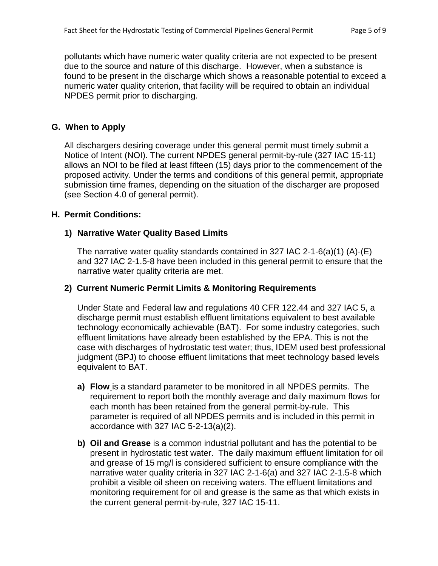pollutants which have numeric water quality criteria are not expected to be present due to the source and nature of this discharge. However, when a substance is found to be present in the discharge which shows a reasonable potential to exceed a numeric water quality criterion, that facility will be required to obtain an individual NPDES permit prior to discharging.

## **G. When to Apply**

All dischargers desiring coverage under this general permit must timely submit a Notice of Intent (NOI). The current NPDES general permit-by-rule (327 IAC 15-11) allows an NOI to be filed at least fifteen (15) days prior to the commencement of the proposed activity. Under the terms and conditions of this general permit, appropriate submission time frames, depending on the situation of the discharger are proposed (see Section 4.0 of general permit).

### **H. Permit Conditions:**

# **1) Narrative Water Quality Based Limits**

The narrative water quality standards contained in 327 IAC 2-1-6(a)(1) (A)-(E) and 327 IAC 2-1.5-8 have been included in this general permit to ensure that the narrative water quality criteria are met.

## **2) Current Numeric Permit Limits & Monitoring Requirements**

Under State and Federal law and regulations 40 CFR 122.44 and 327 IAC 5, a discharge permit must establish effluent limitations equivalent to best available technology economically achievable (BAT). For some industry categories, such effluent limitations have already been established by the EPA. This is not the case with discharges of hydrostatic test water; thus, IDEM used best professional judgment (BPJ) to choose effluent limitations that meet technology based levels equivalent to BAT.

- **a) Flow** is a standard parameter to be monitored in all NPDES permits. The requirement to report both the monthly average and daily maximum flows for each month has been retained from the general permit-by-rule. This parameter is required of all NPDES permits and is included in this permit in accordance with 327 IAC 5-2-13(a)(2).
- **b) Oil and Grease** is a common industrial pollutant and has the potential to be present in hydrostatic test water. The daily maximum effluent limitation for oil and grease of 15 mg/l is considered sufficient to ensure compliance with the narrative water quality criteria in 327 IAC 2-1-6(a) and 327 IAC 2-1.5-8 which prohibit a visible oil sheen on receiving waters. The effluent limitations and monitoring requirement for oil and grease is the same as that which exists in the current general permit-by-rule, 327 IAC 15-11.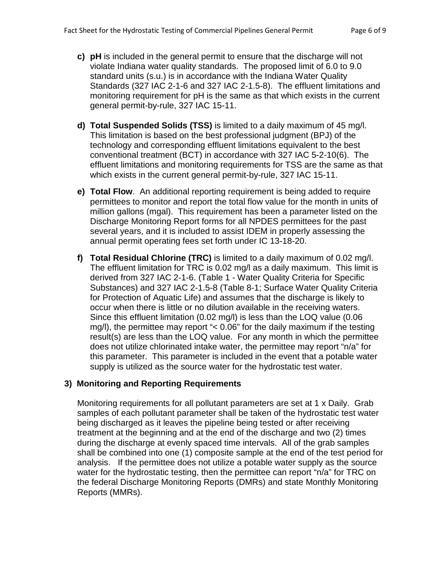- **c) pH** is included in the general permit to ensure that the discharge will not violate Indiana water quality standards. The proposed limit of 6.0 to 9.0 standard units (s.u.) is in accordance with the Indiana Water Quality Standards (327 IAC 2-1-6 and 327 IAC 2-1.5-8). The effluent limitations and monitoring requirement for pH is the same as that which exists in the current general permit-by-rule, 327 IAC 15-11.
- **d) Total Suspended Solids (TSS)** is limited to a daily maximum of 45 mg/l. This limitation is based on the best professional judgment (BPJ) of the technology and corresponding effluent limitations equivalent to the best conventional treatment (BCT) in accordance with 327 IAC 5-2-10(6). The effluent limitations and monitoring requirements for TSS are the same as that which exists in the current general permit-by-rule, 327 IAC 15-11.
- **e) Total Flow**. An additional reporting requirement is being added to require permittees to monitor and report the total flow value for the month in units of million gallons (mgal). This requirement has been a parameter listed on the Discharge Monitoring Report forms for all NPDES permittees for the past several years, and it is included to assist IDEM in properly assessing the annual permit operating fees set forth under IC 13-18-20.
- **f) Total Residual Chlorine (TRC)** is limited to a daily maximum of 0.02 mg/l. The effluent limitation for TRC is 0.02 mg/l as a daily maximum. This limit is derived from 327 IAC 2-1-6. (Table 1 - Water Quality Criteria for Specific Substances) and 327 IAC 2-1.5-8 (Table 8-1; Surface Water Quality Criteria for Protection of Aquatic Life) and assumes that the discharge is likely to occur when there is little or no dilution available in the receiving waters. Since this effluent limitation (0.02 mg/l) is less than the LOQ value (0.06 mg/l), the permittee may report "< 0.06" for the daily maximum if the testing result(s) are less than the LOQ value. For any month in which the permittee does not utilize chlorinated intake water, the permittee may report "n/a" for this parameter. This parameter is included in the event that a potable water supply is utilized as the source water for the hydrostatic test water.

### **3) Monitoring and Reporting Requirements**

Monitoring requirements for all pollutant parameters are set at 1 x Daily. Grab samples of each pollutant parameter shall be taken of the hydrostatic test water being discharged as it leaves the pipeline being tested or after receiving treatment at the beginning and at the end of the discharge and two (2) times during the discharge at evenly spaced time intervals. All of the grab samples shall be combined into one (1) composite sample at the end of the test period for analysis. If the permittee does not utilize a potable water supply as the source water for the hydrostatic testing, then the permittee can report "n/a" for TRC on the federal Discharge Monitoring Reports (DMRs) and state Monthly Monitoring Reports (MMRs).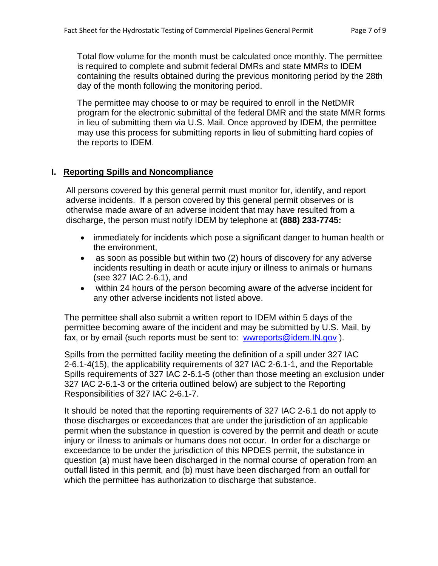Total flow volume for the month must be calculated once monthly. The permittee is required to complete and submit federal DMRs and state MMRs to IDEM containing the results obtained during the previous monitoring period by the 28th day of the month following the monitoring period.

The permittee may choose to or may be required to enroll in the NetDMR program for the electronic submittal of the federal DMR and the state MMR forms in lieu of submitting them via U.S. Mail. Once approved by IDEM, the permittee may use this process for submitting reports in lieu of submitting hard copies of the reports to IDEM.

### **I. Reporting Spills and Noncompliance**

All persons covered by this general permit must monitor for, identify, and report adverse incidents. If a person covered by this general permit observes or is otherwise made aware of an adverse incident that may have resulted from a discharge, the person must notify IDEM by telephone at **(888) 233-7745:**

- immediately for incidents which pose a significant danger to human health or the environment,
- as soon as possible but within two (2) hours of discovery for any adverse incidents resulting in death or acute injury or illness to animals or humans (see 327 IAC 2-6.1), and
- within 24 hours of the person becoming aware of the adverse incident for any other adverse incidents not listed above.

The permittee shall also submit a written report to IDEM within 5 days of the permittee becoming aware of the incident and may be submitted by U.S. Mail, by fax, or by email (such reports must be sent to: [wwreports@idem.IN.gov](mailto:wwreports@idem.IN.gov) ).

Spills from the permitted facility meeting the definition of a spill under 327 IAC 2-6.1-4(15), the applicability requirements of 327 IAC 2-6.1-1, and the Reportable Spills requirements of 327 IAC 2-6.1-5 (other than those meeting an exclusion under 327 IAC 2-6.1-3 or the criteria outlined below) are subject to the Reporting Responsibilities of 327 IAC 2-6.1-7.

It should be noted that the reporting requirements of 327 IAC 2-6.1 do not apply to those discharges or exceedances that are under the jurisdiction of an applicable permit when the substance in question is covered by the permit and death or acute injury or illness to animals or humans does not occur. In order for a discharge or exceedance to be under the jurisdiction of this NPDES permit, the substance in question (a) must have been discharged in the normal course of operation from an outfall listed in this permit, and (b) must have been discharged from an outfall for which the permittee has authorization to discharge that substance.